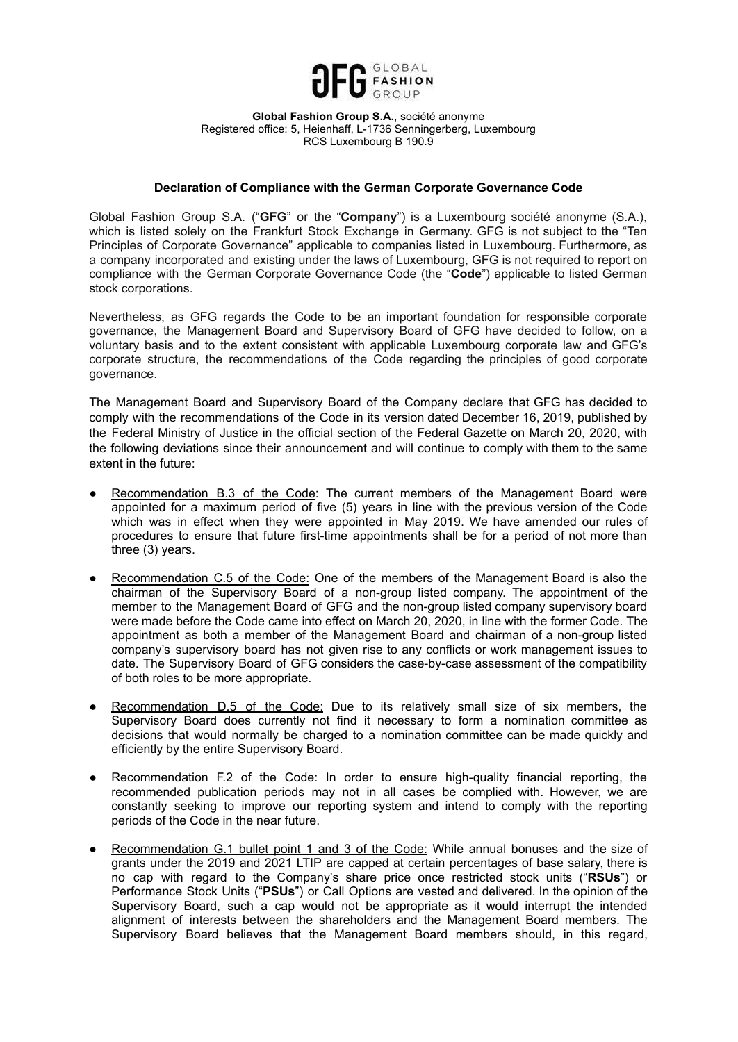

**Global Fashion Group S.A.**, société anonyme Registered office: 5, Heienhaff, L-1736 Senningerberg, Luxembourg RCS Luxembourg B 190.9

## **Declaration of Compliance with the German Corporate Governance Code**

Global Fashion Group S.A. ("**GFG**" or the "**Company**") is a Luxembourg société anonyme (S.A.), which is listed solely on the Frankfurt Stock Exchange in Germany. GFG is not subject to the "Ten Principles of Corporate Governance" applicable to companies listed in Luxembourg. Furthermore, as a company incorporated and existing under the laws of Luxembourg, GFG is not required to report on compliance with the German Corporate Governance Code (the "**Code**") applicable to listed German stock corporations.

Nevertheless, as GFG regards the Code to be an important foundation for responsible corporate governance, the Management Board and Supervisory Board of GFG have decided to follow, on a voluntary basis and to the extent consistent with applicable Luxembourg corporate law and GFG's corporate structure, the recommendations of the Code regarding the principles of good corporate governance.

The Management Board and Supervisory Board of the Company declare that GFG has decided to comply with the recommendations of the Code in its version dated December 16, 2019, published by the Federal Ministry of Justice in the official section of the Federal Gazette on March 20, 2020, with the following deviations since their announcement and will continue to comply with them to the same extent in the future:

- Recommendation B.3 of the Code: The current members of the Management Board were appointed for a maximum period of five (5) years in line with the previous version of the Code which was in effect when they were appointed in May 2019. We have amended our rules of procedures to ensure that future first-time appointments shall be for a period of not more than three (3) years.
- Recommendation C.5 of the Code: One of the members of the Management Board is also the chairman of the Supervisory Board of a non-group listed company. The appointment of the member to the Management Board of GFG and the non-group listed company supervisory board were made before the Code came into effect on March 20, 2020, in line with the former Code. The appointment as both a member of the Management Board and chairman of a non-group listed company's supervisory board has not given rise to any conflicts or work management issues to date. The Supervisory Board of GFG considers the case-by-case assessment of the compatibility of both roles to be more appropriate.
- Recommendation D.5 of the Code: Due to its relatively small size of six members, the Supervisory Board does currently not find it necessary to form a nomination committee as decisions that would normally be charged to a nomination committee can be made quickly and efficiently by the entire Supervisory Board.
- Recommendation F.2 of the Code: In order to ensure high-quality financial reporting, the recommended publication periods may not in all cases be complied with. However, we are constantly seeking to improve our reporting system and intend to comply with the reporting periods of the Code in the near future.
- Recommendation G.1 bullet point 1 and 3 of the Code: While annual bonuses and the size of grants under the 2019 and 2021 LTIP are capped at certain percentages of base salary, there is no cap with regard to the Company's share price once restricted stock units ("**RSUs**") or Performance Stock Units ("**PSUs**") or Call Options are vested and delivered. In the opinion of the Supervisory Board, such a cap would not be appropriate as it would interrupt the intended alignment of interests between the shareholders and the Management Board members. The Supervisory Board believes that the Management Board members should, in this regard,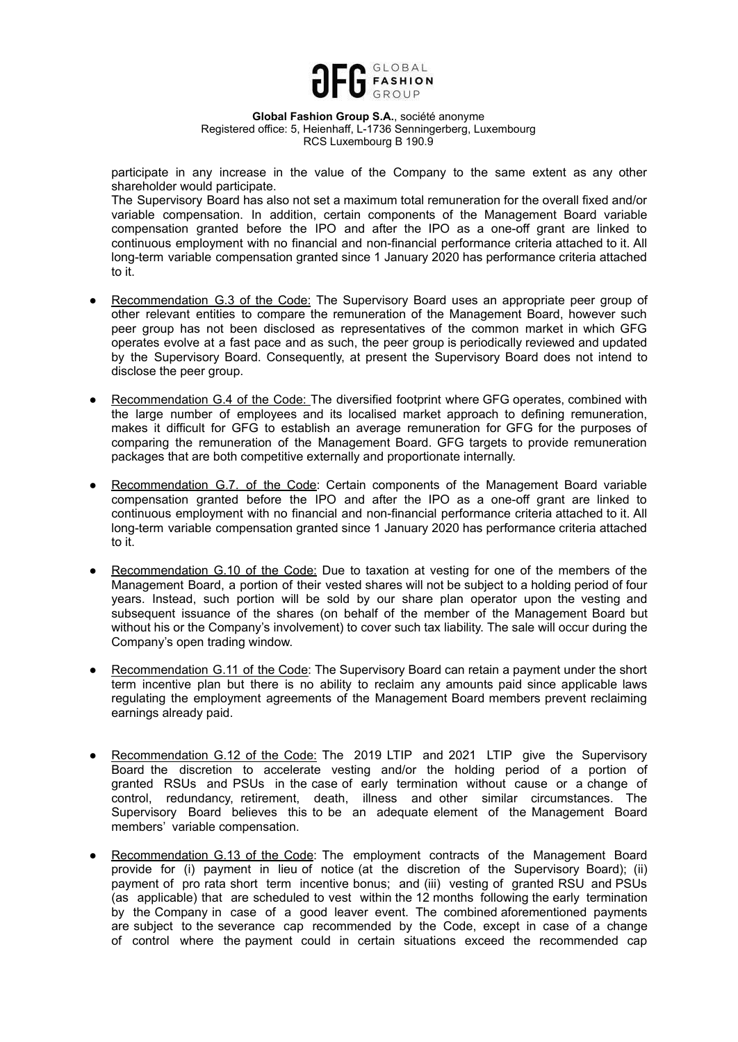

**Global Fashion Group S.A.**, société anonyme Registered office: 5, Heienhaff, L-1736 Senningerberg, Luxembourg RCS Luxembourg B 190.9

participate in any increase in the value of the Company to the same extent as any other shareholder would participate.

The Supervisory Board has also not set a maximum total remuneration for the overall fixed and/or variable compensation. In addition, certain components of the Management Board variable compensation granted before the IPO and after the IPO as a one-off grant are linked to continuous employment with no financial and non-financial performance criteria attached to it. All long-term variable compensation granted since 1 January 2020 has performance criteria attached to it.

- Recommendation G.3 of the Code: The Supervisory Board uses an appropriate peer group of other relevant entities to compare the remuneration of the Management Board, however such peer group has not been disclosed as representatives of the common market in which GFG operates evolve at a fast pace and as such, the peer group is periodically reviewed and updated by the Supervisory Board. Consequently, at present the Supervisory Board does not intend to disclose the peer group.
- Recommendation G.4 of the Code: The diversified footprint where GFG operates, combined with the large number of employees and its localised market approach to defining remuneration, makes it difficult for GFG to establish an average remuneration for GFG for the purposes of comparing the remuneration of the Management Board. GFG targets to provide remuneration packages that are both competitive externally and proportionate internally.
- Recommendation G.7. of the Code: Certain components of the Management Board variable compensation granted before the IPO and after the IPO as a one-off grant are linked to continuous employment with no financial and non-financial performance criteria attached to it. All long-term variable compensation granted since 1 January 2020 has performance criteria attached to it.
- Recommendation G.10 of the Code: Due to taxation at vesting for one of the members of the Management Board, a portion of their vested shares will not be subject to a holding period of four years. Instead, such portion will be sold by our share plan operator upon the vesting and subsequent issuance of the shares (on behalf of the member of the Management Board but without his or the Company's involvement) to cover such tax liability. The sale will occur during the Company's open trading window.
- Recommendation G.11 of the Code: The Supervisory Board can retain a payment under the short term incentive plan but there is no ability to reclaim any amounts paid since applicable laws regulating the employment agreements of the Management Board members prevent reclaiming earnings already paid.
- Recommendation G.12 of the Code: The 2019 LTIP and 2021 LTIP give the Supervisory Board the discretion to accelerate vesting and/or the holding period of a portion of granted RSUs and PSUs in the case of early termination without cause or a change of control, redundancy, retirement, death, illness and other similar circumstances. The Supervisory Board believes this to be an adequate element of the Management Board members' variable compensation.
- Recommendation G.13 of the Code: The employment contracts of the Management Board provide for (i) payment in lieu of notice (at the discretion of the Supervisory Board); (ii) payment of pro rata short term incentive bonus; and (iii) vesting of granted RSU and PSUs (as applicable) that are scheduled to vest within the 12 months following the early termination by the Company in case of a good leaver event. The combined aforementioned payments are subject to the severance cap recommended by the Code, except in case of a change of control where the payment could in certain situations exceed the recommended cap